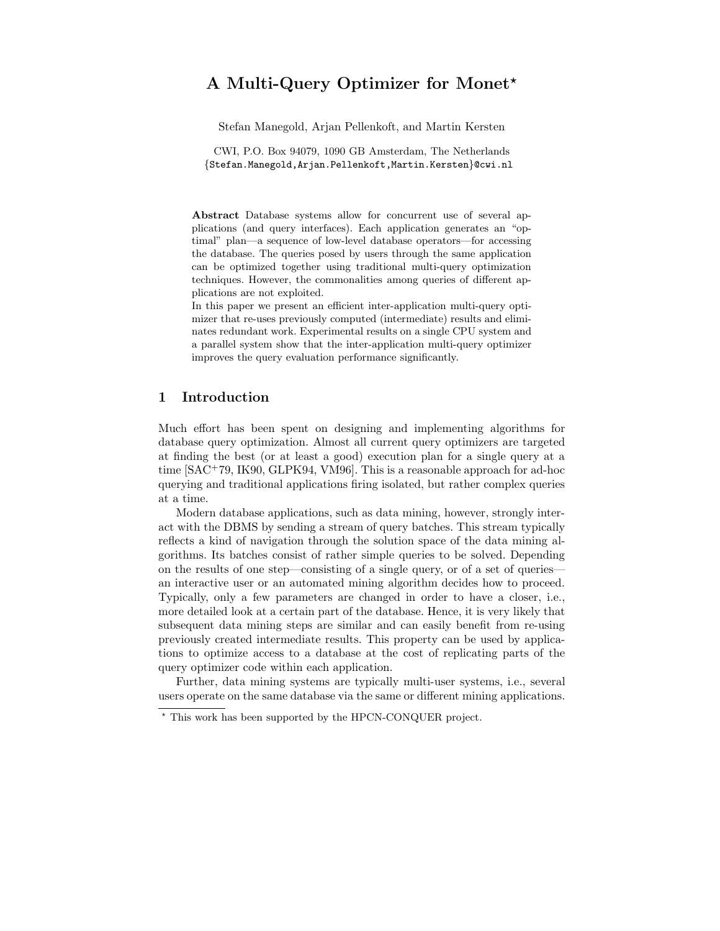# **A Multi-Query Optimizer for Monet***?*

Stefan Manegold, Arjan Pellenkoft, and Martin Kersten

CWI, P.O. Box 94079, 1090 GB Amsterdam, The Netherlands *{*Stefan.Manegold,Arjan.Pellenkoft,Martin.Kersten*}*@cwi.nl

**Abstract** Database systems allow for concurrent use of several applications (and query interfaces). Each application generates an "optimal" plan—a sequence of low-level database operators—for accessing the database. The queries posed by users through the same application can be optimized together using traditional multi-query optimization techniques. However, the commonalities among queries of different applications are not exploited.

In this paper we present an efficient inter-application multi-query optimizer that re-uses previously computed (intermediate) results and eliminates redundant work. Experimental results on a single CPU system and a parallel system show that the inter-application multi-query optimizer improves the query evaluation performance significantly.

# **1 Introduction**

Much effort has been spent on designing and implementing algorithms for database query optimization. Almost all current query optimizers are targeted at finding the best (or at least a good) execution plan for a single query at a time [SAC<sup>+</sup>79, IK90, GLPK94, VM96]. This is a reasonable approach for ad-hoc querying and traditional applications firing isolated, but rather complex queries at a time.

Modern database applications, such as data mining, however, strongly interact with the DBMS by sending a stream of query batches. This stream typically reflects a kind of navigation through the solution space of the data mining algorithms. Its batches consist of rather simple queries to be solved. Depending on the results of one step—consisting of a single query, or of a set of queries an interactive user or an automated mining algorithm decides how to proceed. Typically, only a few parameters are changed in order to have a closer, i.e., more detailed look at a certain part of the database. Hence, it is very likely that subsequent data mining steps are similar and can easily benefit from re-using previously created intermediate results. This property can be used by applications to optimize access to a database at the cost of replicating parts of the query optimizer code within each application.

Further, data mining systems are typically multi-user systems, i.e., several users operate on the same database via the same or different mining applications.

<sup>?</sup> This work has been supported by the HPCN-CONQUER project.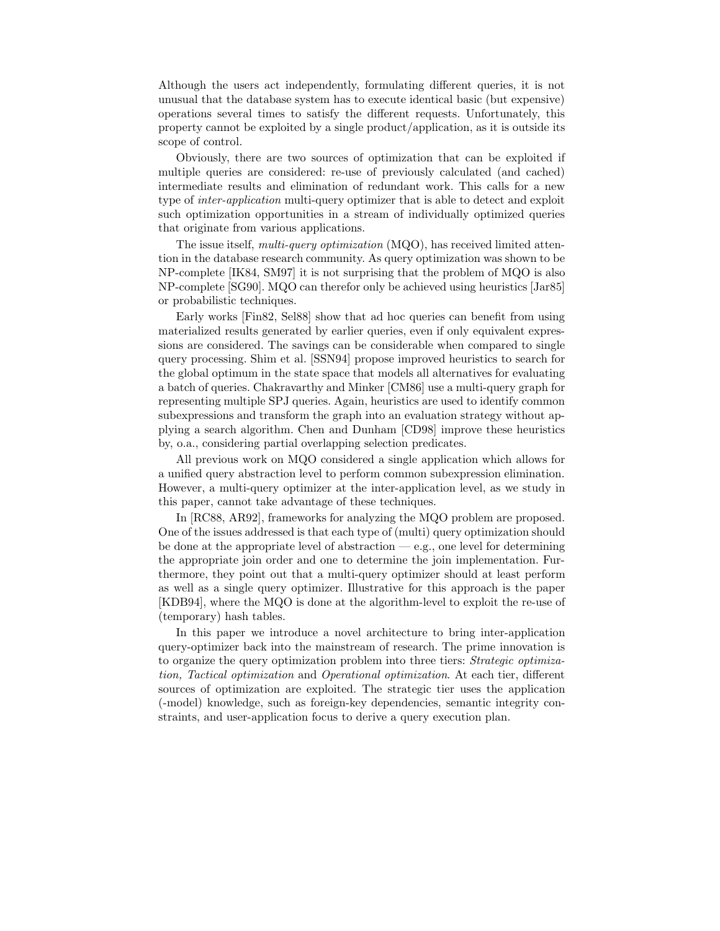Although the users act independently, formulating different queries, it is not unusual that the database system has to execute identical basic (but expensive) operations several times to satisfy the different requests. Unfortunately, this property cannot be exploited by a single product/application, as it is outside its scope of control.

Obviously, there are two sources of optimization that can be exploited if multiple queries are considered: re-use of previously calculated (and cached) intermediate results and elimination of redundant work. This calls for a new type of inter-application multi-query optimizer that is able to detect and exploit such optimization opportunities in a stream of individually optimized queries that originate from various applications.

The issue itself, multi-query optimization (MQO), has received limited attention in the database research community. As query optimization was shown to be NP-complete [IK84, SM97] it is not surprising that the problem of MQO is also NP-complete [SG90]. MQO can therefor only be achieved using heuristics [Jar85] or probabilistic techniques.

Early works [Fin82, Sel88] show that ad hoc queries can benefit from using materialized results generated by earlier queries, even if only equivalent expressions are considered. The savings can be considerable when compared to single query processing. Shim et al. [SSN94] propose improved heuristics to search for the global optimum in the state space that models all alternatives for evaluating a batch of queries. Chakravarthy and Minker [CM86] use a multi-query graph for representing multiple SPJ queries. Again, heuristics are used to identify common subexpressions and transform the graph into an evaluation strategy without applying a search algorithm. Chen and Dunham [CD98] improve these heuristics by, o.a., considering partial overlapping selection predicates.

All previous work on MQO considered a single application which allows for a unified query abstraction level to perform common subexpression elimination. However, a multi-query optimizer at the inter-application level, as we study in this paper, cannot take advantage of these techniques.

In [RC88, AR92], frameworks for analyzing the MQO problem are proposed. One of the issues addressed is that each type of (multi) query optimization should be done at the appropriate level of abstraction — e.g., one level for determining the appropriate join order and one to determine the join implementation. Furthermore, they point out that a multi-query optimizer should at least perform as well as a single query optimizer. Illustrative for this approach is the paper [KDB94], where the MQO is done at the algorithm-level to exploit the re-use of (temporary) hash tables.

In this paper we introduce a novel architecture to bring inter-application query-optimizer back into the mainstream of research. The prime innovation is to organize the query optimization problem into three tiers: Strategic optimization, Tactical optimization and Operational optimization. At each tier, different sources of optimization are exploited. The strategic tier uses the application (-model) knowledge, such as foreign-key dependencies, semantic integrity constraints, and user-application focus to derive a query execution plan.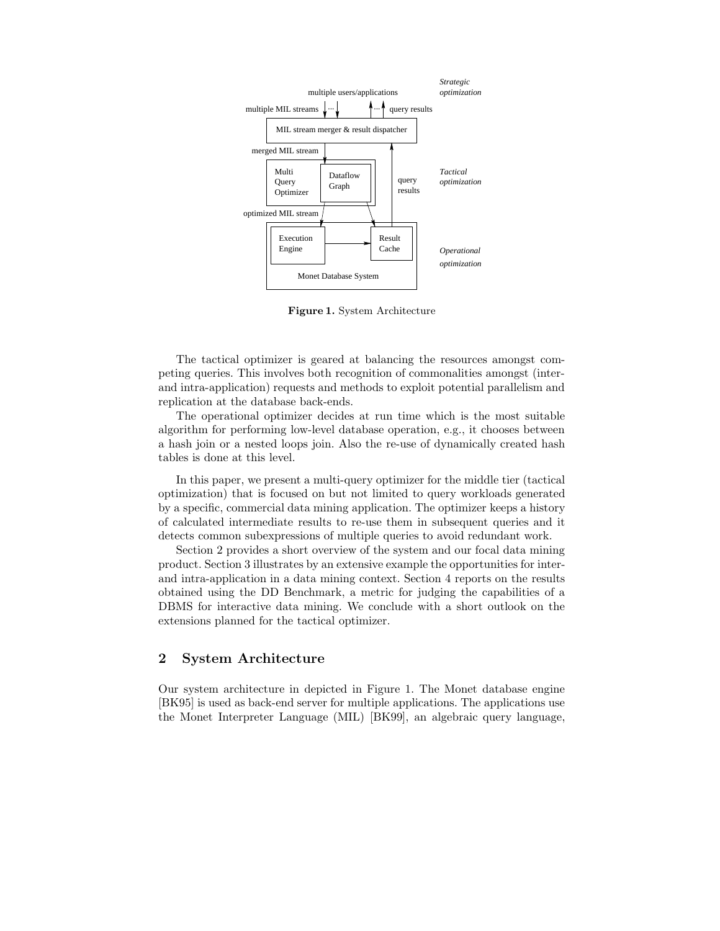

**Figure 1.** System Architecture

The tactical optimizer is geared at balancing the resources amongst competing queries. This involves both recognition of commonalities amongst (interand intra-application) requests and methods to exploit potential parallelism and replication at the database back-ends.

The operational optimizer decides at run time which is the most suitable algorithm for performing low-level database operation, e.g., it chooses between a hash join or a nested loops join. Also the re-use of dynamically created hash tables is done at this level.

In this paper, we present a multi-query optimizer for the middle tier (tactical optimization) that is focused on but not limited to query workloads generated by a specific, commercial data mining application. The optimizer keeps a history of calculated intermediate results to re-use them in subsequent queries and it detects common subexpressions of multiple queries to avoid redundant work.

Section 2 provides a short overview of the system and our focal data mining product. Section 3 illustrates by an extensive example the opportunities for interand intra-application in a data mining context. Section 4 reports on the results obtained using the DD Benchmark, a metric for judging the capabilities of a DBMS for interactive data mining. We conclude with a short outlook on the extensions planned for the tactical optimizer.

# **2 System Architecture**

Our system architecture in depicted in Figure 1. The Monet database engine [BK95] is used as back-end server for multiple applications. The applications use the Monet Interpreter Language (MIL) [BK99], an algebraic query language,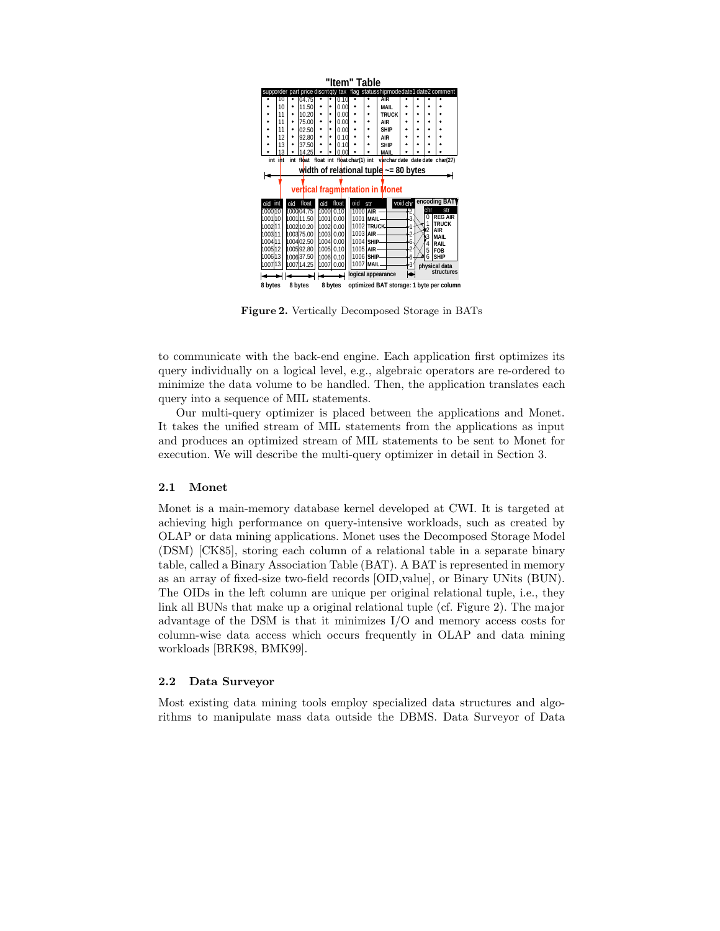

**Figure 2.** Vertically Decomposed Storage in BATs

to communicate with the back-end engine. Each application first optimizes its query individually on a logical level, e.g., algebraic operators are re-ordered to minimize the data volume to be handled. Then, the application translates each query into a sequence of MIL statements.

Our multi-query optimizer is placed between the applications and Monet. It takes the unified stream of MIL statements from the applications as input and produces an optimized stream of MIL statements to be sent to Monet for execution. We will describe the multi-query optimizer in detail in Section 3.

#### **2.1 Monet**

Monet is a main-memory database kernel developed at CWI. It is targeted at achieving high performance on query-intensive workloads, such as created by OLAP or data mining applications. Monet uses the Decomposed Storage Model (DSM) [CK85], storing each column of a relational table in a separate binary table, called a Binary Association Table (BAT). A BAT is represented in memory as an array of fixed-size two-field records [OID,value], or Binary UNits (BUN). The OIDs in the left column are unique per original relational tuple, i.e., they link all BUNs that make up a original relational tuple (cf. Figure 2). The major advantage of the DSM is that it minimizes I/O and memory access costs for column-wise data access which occurs frequently in OLAP and data mining workloads [BRK98, BMK99].

#### **2.2 Data Surveyor**

Most existing data mining tools employ specialized data structures and algorithms to manipulate mass data outside the DBMS. Data Surveyor of Data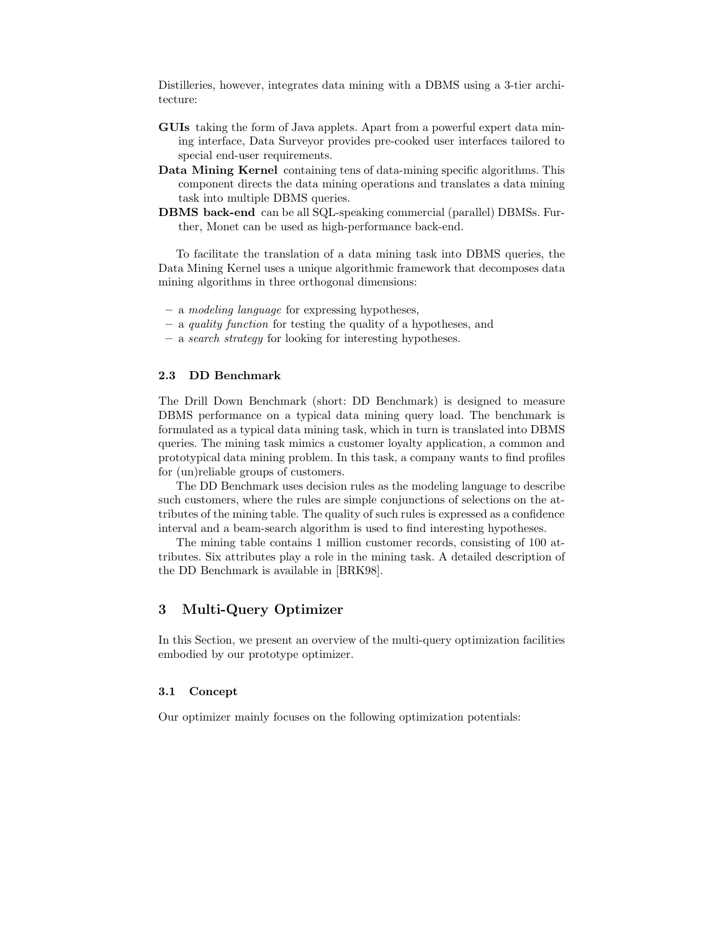Distilleries, however, integrates data mining with a DBMS using a 3-tier architecture:

- **GUIs** taking the form of Java applets. Apart from a powerful expert data mining interface, Data Surveyor provides pre-cooked user interfaces tailored to special end-user requirements.
- **Data Mining Kernel** containing tens of data-mining specific algorithms. This component directs the data mining operations and translates a data mining task into multiple DBMS queries.
- **DBMS back-end** can be all SQL-speaking commercial (parallel) DBMSs. Further, Monet can be used as high-performance back-end.

To facilitate the translation of a data mining task into DBMS queries, the Data Mining Kernel uses a unique algorithmic framework that decomposes data mining algorithms in three orthogonal dimensions:

- **–** a modeling language for expressing hypotheses,
- **–** a quality function for testing the quality of a hypotheses, and
- **–** a search strategy for looking for interesting hypotheses.

# **2.3 DD Benchmark**

The Drill Down Benchmark (short: DD Benchmark) is designed to measure DBMS performance on a typical data mining query load. The benchmark is formulated as a typical data mining task, which in turn is translated into DBMS queries. The mining task mimics a customer loyalty application, a common and prototypical data mining problem. In this task, a company wants to find profiles for (un)reliable groups of customers.

The DD Benchmark uses decision rules as the modeling language to describe such customers, where the rules are simple conjunctions of selections on the attributes of the mining table. The quality of such rules is expressed as a confidence interval and a beam-search algorithm is used to find interesting hypotheses.

The mining table contains 1 million customer records, consisting of 100 attributes. Six attributes play a role in the mining task. A detailed description of the DD Benchmark is available in [BRK98].

### **3 Multi-Query Optimizer**

In this Section, we present an overview of the multi-query optimization facilities embodied by our prototype optimizer.

#### **3.1 Concept**

Our optimizer mainly focuses on the following optimization potentials: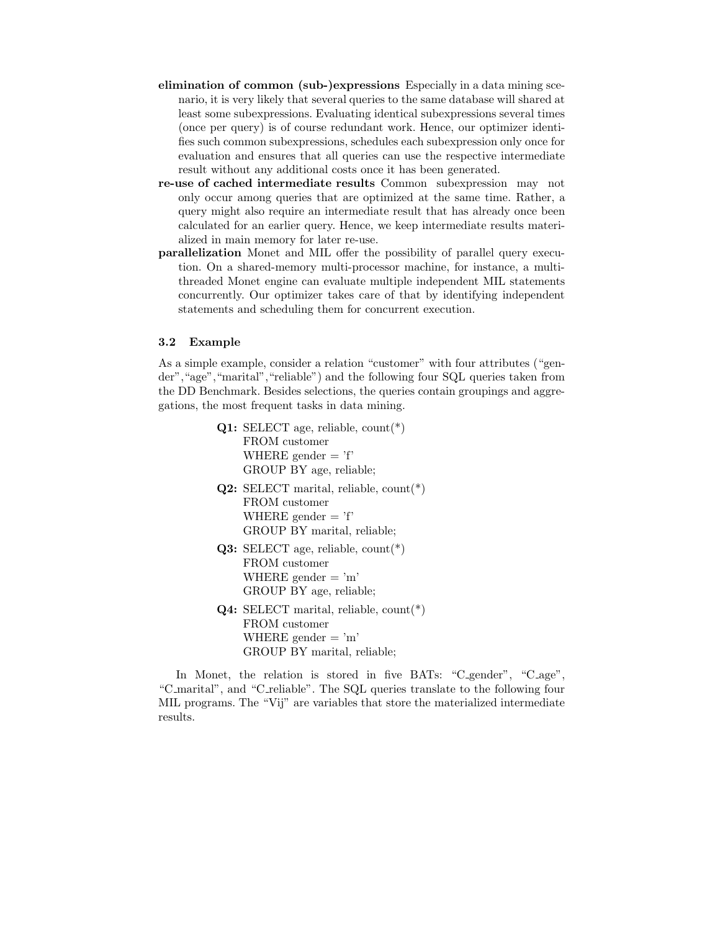- **elimination of common (sub-)expressions** Especially in a data mining scenario, it is very likely that several queries to the same database will shared at least some subexpressions. Evaluating identical subexpressions several times (once per query) is of course redundant work. Hence, our optimizer identifies such common subexpressions, schedules each subexpression only once for evaluation and ensures that all queries can use the respective intermediate result without any additional costs once it has been generated.
- **re-use of cached intermediate results** Common subexpression may not only occur among queries that are optimized at the same time. Rather, a query might also require an intermediate result that has already once been calculated for an earlier query. Hence, we keep intermediate results materialized in main memory for later re-use.
- **parallelization** Monet and MIL offer the possibility of parallel query execution. On a shared-memory multi-processor machine, for instance, a multithreaded Monet engine can evaluate multiple independent MIL statements concurrently. Our optimizer takes care of that by identifying independent statements and scheduling them for concurrent execution.

#### **3.2 Example**

As a simple example, consider a relation "customer" with four attributes ("gender","age","marital","reliable") and the following four SQL queries taken from the DD Benchmark. Besides selections, the queries contain groupings and aggregations, the most frequent tasks in data mining.

```
Q1: SELECT age, reliable, count(*)
    FROM customer
    WHERE gender = 'f'
    GROUP BY age, reliable;
Q2: SELECT marital, reliable, count(*)
    FROM customer
    WHERE gender = 'f'
    GROUP BY marital, reliable;
Q3: SELECT age, reliable, count(*)
    FROM customer
    WHERE gender = 'm'
    GROUP BY age, reliable;
Q4: SELECT marital, reliable, count(*)
    FROM customer
    WHERE gender = 'm'
    GROUP BY marital, reliable;
```
In Monet, the relation is stored in five BATs: "C\_gender", "C\_age", "C marital", and "C reliable". The SQL queries translate to the following four MIL programs. The "Vij" are variables that store the materialized intermediate results.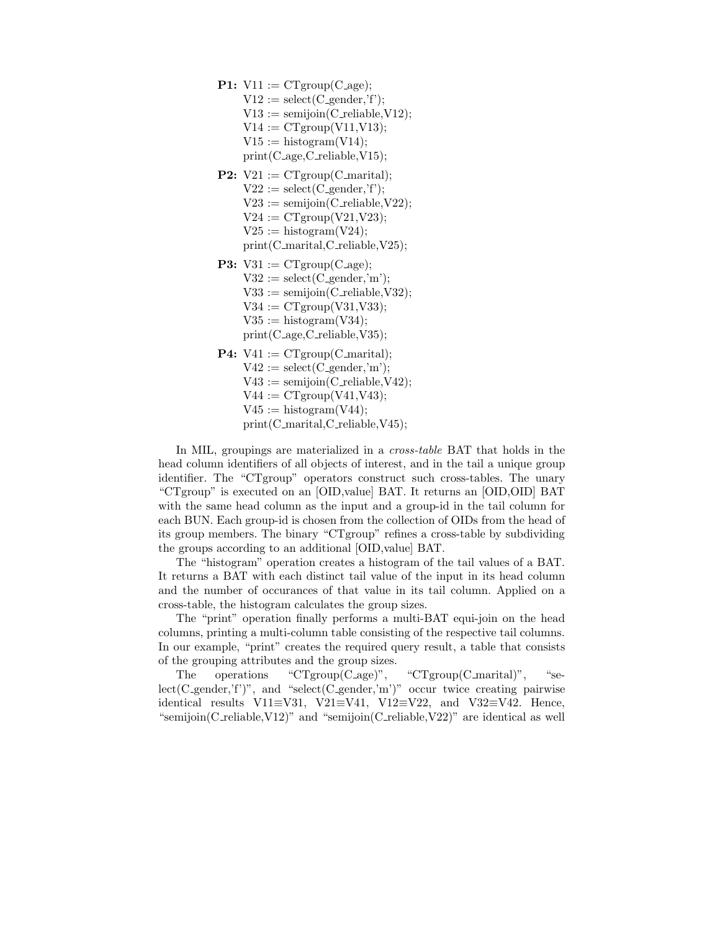**P1:**  $V11 := CT$ group $(C \text{ age})$ ;  $V12 := select(C\_gender, 'f');$  $V13 := semijoin(C$  reliable,  $V12$ ;  $V14 := C T \text{group}(V11,V13);$  $V15 :=$  histogram $(V14);$ print(C age,C reliable,V15); **P2:**  $V21 := CT$ group(C\_marital);  $V22 := select(C\_gender, 'f');$  $V23 := semijoin(C$  reliable,  $V22$ ;  $V24 := C T \text{group}(V21,V23);$  $V25 :=$  histogram $(V24);$ print(C marital,C reliable,V25); **P3:** V31 :=  $CTgroup(C \text{ age});$  $V32 := select(C \text{ gender}, 'm');$  $V33 := semijoin(C$  reliable,  $V32$ ;  $V34 := C T \text{group}(V31,V33);$  $V35 :=$  histogram $(V34);$ print(C age,C reliable,V35); **P4:**  $V41 := CTgroup(C\_marital);$  $V42 := select(C\_gender, 'm');$  $V43 := semijoin(C$  reliable,  $V42$ ;  $V44 := C T \text{group}(V41,V43);$  $V45 :=$ histogram $(V44)$ ;  $print(C\_marital, C\_reliable, V45);$ 

In MIL, groupings are materialized in a cross-table BAT that holds in the head column identifiers of all objects of interest, and in the tail a unique group identifier. The "CTgroup" operators construct such cross-tables. The unary "CTgroup" is executed on an [OID,value] BAT. It returns an [OID,OID] BAT with the same head column as the input and a group-id in the tail column for each BUN. Each group-id is chosen from the collection of OIDs from the head of its group members. The binary "CTgroup" refines a cross-table by subdividing the groups according to an additional [OID,value] BAT.

The "histogram" operation creates a histogram of the tail values of a BAT. It returns a BAT with each distinct tail value of the input in its head column and the number of occurances of that value in its tail column. Applied on a cross-table, the histogram calculates the group sizes.

The "print" operation finally performs a multi-BAT equi-join on the head columns, printing a multi-column table consisting of the respective tail columns. In our example, "print" creates the required query result, a table that consists of the grouping attributes and the group sizes.

The operations "CTgroup(C age)", "CTgroup(C marital)", "se $lect(C\text{-gender}, 'f')''$ , and "select(C-gender, $'m')''$  occur twice creating pairwise identical results V11*≡*V31, V21*≡*V41, V12*≡*V22, and V32*≡*V42. Hence, "semijoin(C reliable, V12)" and "semijoin(C reliable, V22)" are identical as well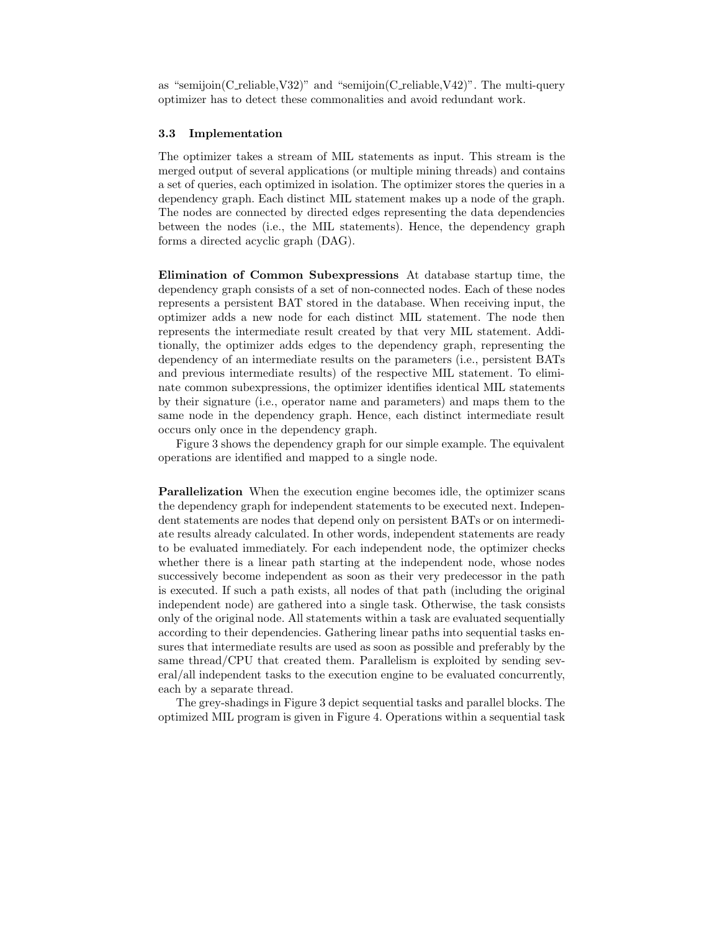as "semijoin(C\_reliable,V32)" and "semijoin(C\_reliable,V42)". The multi-query optimizer has to detect these commonalities and avoid redundant work.

#### **3.3 Implementation**

The optimizer takes a stream of MIL statements as input. This stream is the merged output of several applications (or multiple mining threads) and contains a set of queries, each optimized in isolation. The optimizer stores the queries in a dependency graph. Each distinct MIL statement makes up a node of the graph. The nodes are connected by directed edges representing the data dependencies between the nodes (i.e., the MIL statements). Hence, the dependency graph forms a directed acyclic graph (DAG).

**Elimination of Common Subexpressions** At database startup time, the dependency graph consists of a set of non-connected nodes. Each of these nodes represents a persistent BAT stored in the database. When receiving input, the optimizer adds a new node for each distinct MIL statement. The node then represents the intermediate result created by that very MIL statement. Additionally, the optimizer adds edges to the dependency graph, representing the dependency of an intermediate results on the parameters (i.e., persistent BATs and previous intermediate results) of the respective MIL statement. To eliminate common subexpressions, the optimizer identifies identical MIL statements by their signature (i.e., operator name and parameters) and maps them to the same node in the dependency graph. Hence, each distinct intermediate result occurs only once in the dependency graph.

Figure 3 shows the dependency graph for our simple example. The equivalent operations are identified and mapped to a single node.

**Parallelization** When the execution engine becomes idle, the optimizer scans the dependency graph for independent statements to be executed next. Independent statements are nodes that depend only on persistent BATs or on intermediate results already calculated. In other words, independent statements are ready to be evaluated immediately. For each independent node, the optimizer checks whether there is a linear path starting at the independent node, whose nodes successively become independent as soon as their very predecessor in the path is executed. If such a path exists, all nodes of that path (including the original independent node) are gathered into a single task. Otherwise, the task consists only of the original node. All statements within a task are evaluated sequentially according to their dependencies. Gathering linear paths into sequential tasks ensures that intermediate results are used as soon as possible and preferably by the same thread/CPU that created them. Parallelism is exploited by sending several/all independent tasks to the execution engine to be evaluated concurrently, each by a separate thread.

The grey-shadings in Figure 3 depict sequential tasks and parallel blocks. The optimized MIL program is given in Figure 4. Operations within a sequential task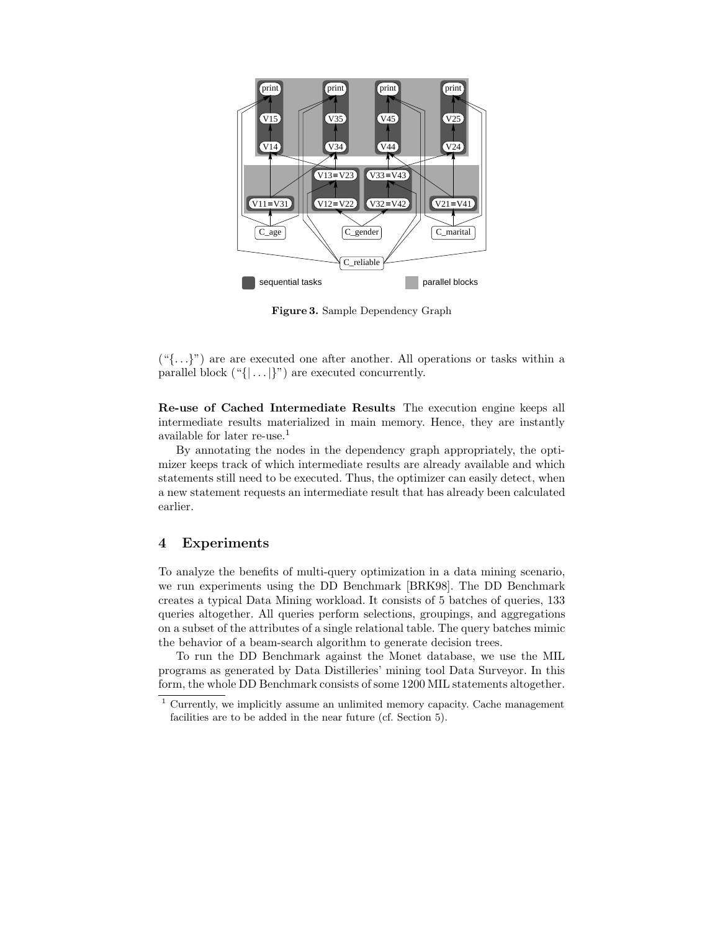

**Figure 3.** Sample Dependency Graph

("*{*...*}*") are are executed one after another. All operations or tasks within a parallel block ("*{|* ... *|}*") are executed concurrently.

**Re-use of Cached Intermediate Results** The execution engine keeps all intermediate results materialized in main memory. Hence, they are instantly available for later re-use.<sup>1</sup>

By annotating the nodes in the dependency graph appropriately, the optimizer keeps track of which intermediate results are already available and which statements still need to be executed. Thus, the optimizer can easily detect, when a new statement requests an intermediate result that has already been calculated earlier.

# **4 Experiments**

To analyze the benefits of multi-query optimization in a data mining scenario, we run experiments using the DD Benchmark [BRK98]. The DD Benchmark creates a typical Data Mining workload. It consists of 5 batches of queries, 133 queries altogether. All queries perform selections, groupings, and aggregations on a subset of the attributes of a single relational table. The query batches mimic the behavior of a beam-search algorithm to generate decision trees.

To run the DD Benchmark against the Monet database, we use the MIL programs as generated by Data Distilleries' mining tool Data Surveyor. In this form, the whole DD Benchmark consists of some 1200 MIL statements altogether.

 $1$  Currently, we implicitly assume an unlimited memory capacity. Cache management facilities are to be added in the near future (cf. Section 5).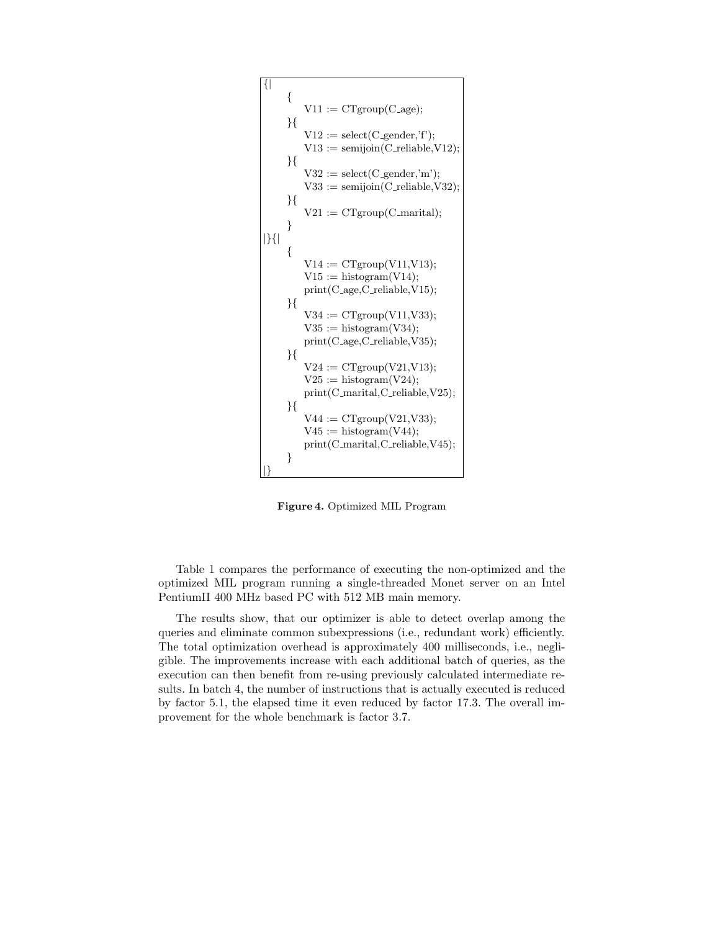```
{|
     {
         V11 := CTgroup(C_age);}{
         V12 := select(C\_gender, 'f');V13 := semijoin(C-reliable, V12);
     }{
         V32 := select(C\_gender, 'm');V33 := semijoin(C_{reliable}, V32);}{
         V21 := C T \text{group}(C \text{.} marital);
     }
|}{|
     {
         V14 := C Tgroup(V11,V13);
        V15 := histogram(V14);print(C age,C reliable,V15);
     }{
         V34 := C T \text{group}(V11,V33);V35 := histogram(V34);print(C age,C reliable,V35);
    }{
         V24 := C T \text{group}(V21,V13);V25 := histogram(V24);print(C marital,C reliable,V25);
     }{
         V44 := C T \text{group}(V21,V33);V45 :=histogram(V44);
        print(C marital,C reliable,V45);
     }
|}
```
**Figure 4.** Optimized MIL Program

Table 1 compares the performance of executing the non-optimized and the optimized MIL program running a single-threaded Monet server on an Intel PentiumII 400 MHz based PC with 512 MB main memory.

The results show, that our optimizer is able to detect overlap among the queries and eliminate common subexpressions (i.e., redundant work) efficiently. The total optimization overhead is approximately 400 milliseconds, i.e., negligible. The improvements increase with each additional batch of queries, as the execution can then benefit from re-using previously calculated intermediate results. In batch 4, the number of instructions that is actually executed is reduced by factor 5.1, the elapsed time it even reduced by factor 17.3. The overall improvement for the whole benchmark is factor 3.7.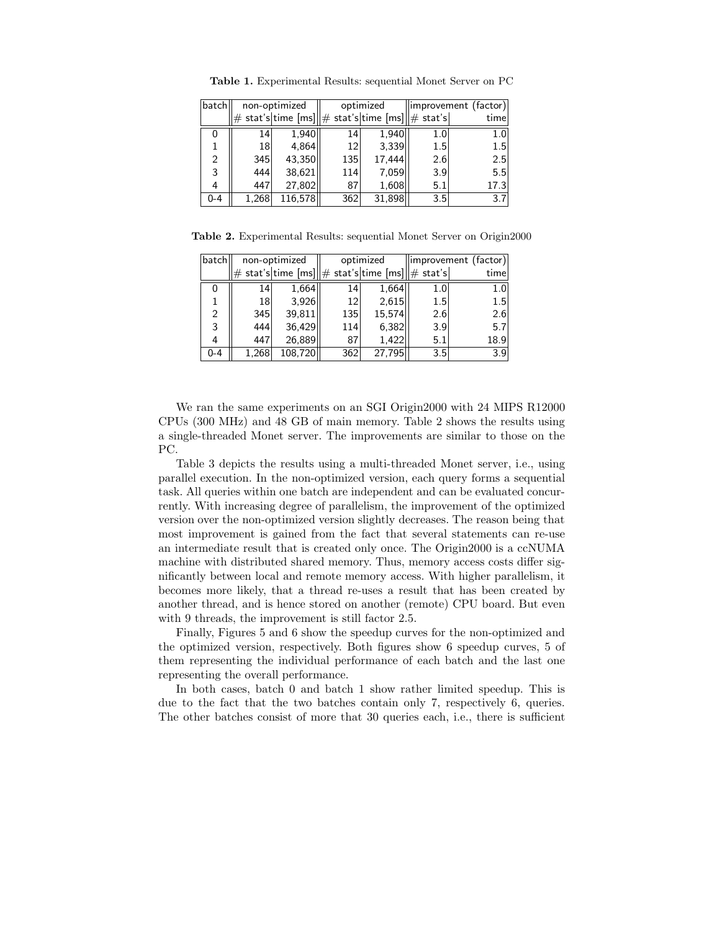| batch         | non-optimized |         | optimized |                                                  | improvement (factor) |      |
|---------------|---------------|---------|-----------|--------------------------------------------------|----------------------|------|
|               | #             |         |           | stat's time $[ms]]#$ stat's time $[ms]]#$ stat's |                      | time |
|               | 14            | 1.940   | 14        | 1.940                                            | 1.0                  | 1.0  |
|               | 18            | 4,864   | 12        | 3.339                                            | $1.5\,$              | 1.5  |
| $\mathcal{P}$ | 345           | 43,350  | 135       | 17,444                                           | 2.6                  | 2.5  |
| 3             | 444           | 38,621  | 114       | 7,059                                            | 3.9                  | 5.5  |
| 4             | 447           | 27,802  | 87        | 1,608                                            | 5.1                  | 17.3 |
| $0 - 4$       | 1,268         | 116,578 | 362       | 31,898                                           | 3.5                  | 3.7  |

**Table 1.** Experimental Results: sequential Monet Server on PC

**Table 2.** Experimental Results: sequential Monet Server on Origin2000

| batch   | non-optimized |         |     | optimized                                                   | improvement (factor) |      |
|---------|---------------|---------|-----|-------------------------------------------------------------|----------------------|------|
|         |               |         |     | # stat's time [ms] $  #$ stat's time [ms] $  #$ stat's $  $ |                      | time |
|         | 14            | 1,664   | 14  | 1,664                                                       | $1.0\,$              | 1.0  |
|         | 18            | 3,926   | 12  | 2,615                                                       | 1.5                  | 1.5  |
| 2       | 345           | 39,811  | 135 | 15,574                                                      | 2.6                  | 2.6  |
| 3       | 444           | 36,429  | 114 | 6,382                                                       | 3.9                  | 5.7  |
| 4       | 447           | 26,889  | 87  | 1,422                                                       | 5.1                  | 18.9 |
| $0 - 4$ | 1,268         | 108,720 | 362 | 27,795                                                      | 3.5                  | 3.9  |

We ran the same experiments on an SGI Origin2000 with 24 MIPS R12000 CPUs (300 MHz) and 48 GB of main memory. Table 2 shows the results using a single-threaded Monet server. The improvements are similar to those on the PC.

Table 3 depicts the results using a multi-threaded Monet server, i.e., using parallel execution. In the non-optimized version, each query forms a sequential task. All queries within one batch are independent and can be evaluated concurrently. With increasing degree of parallelism, the improvement of the optimized version over the non-optimized version slightly decreases. The reason being that most improvement is gained from the fact that several statements can re-use an intermediate result that is created only once. The Origin2000 is a ccNUMA machine with distributed shared memory. Thus, memory access costs differ significantly between local and remote memory access. With higher parallelism, it becomes more likely, that a thread re-uses a result that has been created by another thread, and is hence stored on another (remote) CPU board. But even with 9 threads, the improvement is still factor 2.5.

Finally, Figures 5 and 6 show the speedup curves for the non-optimized and the optimized version, respectively. Both figures show 6 speedup curves, 5 of them representing the individual performance of each batch and the last one representing the overall performance.

In both cases, batch 0 and batch 1 show rather limited speedup. This is due to the fact that the two batches contain only 7, respectively 6, queries. The other batches consist of more that 30 queries each, i.e., there is sufficient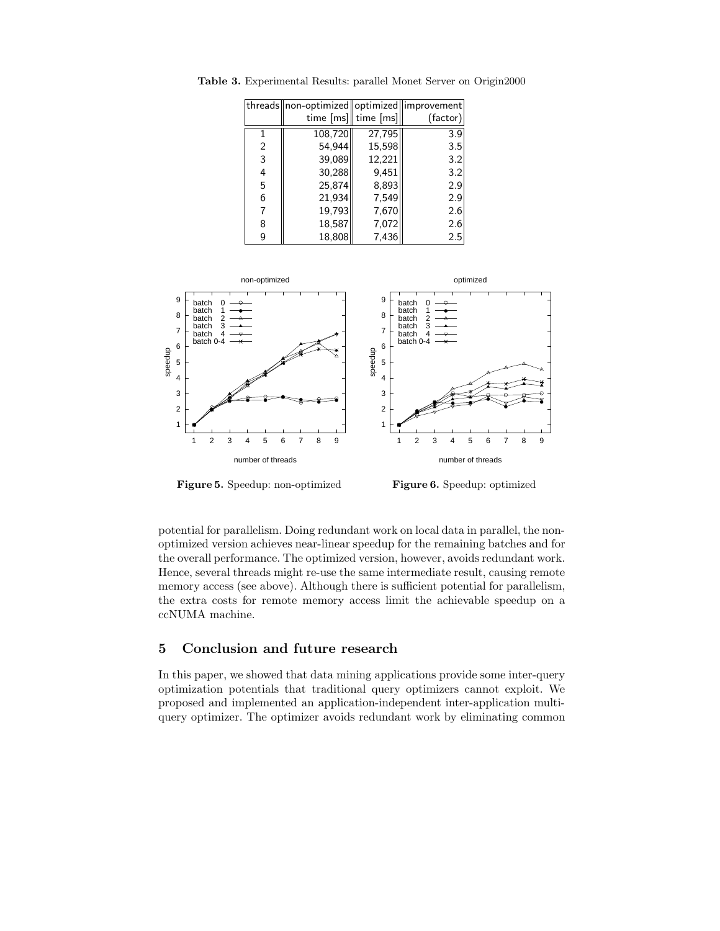|  |   | threads non-optimized optimized limprovement |                         |          |
|--|---|----------------------------------------------|-------------------------|----------|
|  |   |                                              | time $[ms]$ time $[ms]$ | (factor) |
|  | 1 | 108,720                                      | 27,795                  | 3.9      |
|  | 2 | 54,944                                       | 15,598                  | 3.5      |
|  | 3 | 39,089                                       | 12,221                  | 3.2      |
|  | 4 | 30,288                                       | 9,451                   | 3.2      |
|  | 5 | 25,874                                       | 8,893                   | 2.9      |
|  | 6 | 21,934                                       | 7,549                   | 2.9      |
|  |   | 19,793                                       | 7,670                   | 2.6      |
|  | 8 | 18,587                                       | 7,072                   | 2.6      |
|  | 9 | 18,808                                       | 7,436                   | 2.5      |

**Table 3.** Experimental Results: parallel Monet Server on Origin2000



**Figure 5.** Speedup: non-optimized

**Figure 6.** Speedup: optimized

potential for parallelism. Doing redundant work on local data in parallel, the nonoptimized version achieves near-linear speedup for the remaining batches and for the overall performance. The optimized version, however, avoids redundant work. Hence, several threads might re-use the same intermediate result, causing remote memory access (see above). Although there is sufficient potential for parallelism, the extra costs for remote memory access limit the achievable speedup on a ccNUMA machine.

# **5 Conclusion and future research**

In this paper, we showed that data mining applications provide some inter-query optimization potentials that traditional query optimizers cannot exploit. We proposed and implemented an application-independent inter-application multiquery optimizer. The optimizer avoids redundant work by eliminating common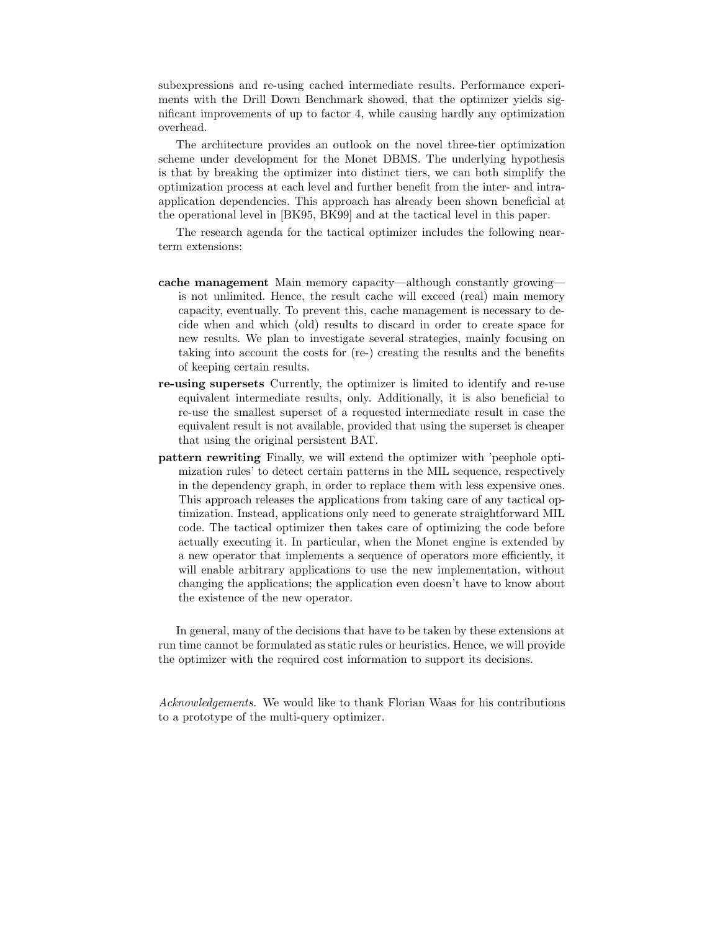subexpressions and re-using cached intermediate results. Performance experiments with the Drill Down Benchmark showed, that the optimizer yields significant improvements of up to factor 4, while causing hardly any optimization overhead.

The architecture provides an outlook on the novel three-tier optimization scheme under development for the Monet DBMS. The underlying hypothesis is that by breaking the optimizer into distinct tiers, we can both simplify the optimization process at each level and further benefit from the inter- and intraapplication dependencies. This approach has already been shown beneficial at the operational level in [BK95, BK99] and at the tactical level in this paper.

The research agenda for the tactical optimizer includes the following nearterm extensions:

- **cache management** Main memory capacity—although constantly growing is not unlimited. Hence, the result cache will exceed (real) main memory capacity, eventually. To prevent this, cache management is necessary to decide when and which (old) results to discard in order to create space for new results. We plan to investigate several strategies, mainly focusing on taking into account the costs for (re-) creating the results and the benefits of keeping certain results.
- **re-using supersets** Currently, the optimizer is limited to identify and re-use equivalent intermediate results, only. Additionally, it is also beneficial to re-use the smallest superset of a requested intermediate result in case the equivalent result is not available, provided that using the superset is cheaper that using the original persistent BAT.
- **pattern rewriting** Finally, we will extend the optimizer with 'peephole optimization rules' to detect certain patterns in the MIL sequence, respectively in the dependency graph, in order to replace them with less expensive ones. This approach releases the applications from taking care of any tactical optimization. Instead, applications only need to generate straightforward MIL code. The tactical optimizer then takes care of optimizing the code before actually executing it. In particular, when the Monet engine is extended by a new operator that implements a sequence of operators more efficiently, it will enable arbitrary applications to use the new implementation, without changing the applications; the application even doesn't have to know about the existence of the new operator.

In general, many of the decisions that have to be taken by these extensions at run time cannot be formulated as static rules or heuristics. Hence, we will provide the optimizer with the required cost information to support its decisions.

Acknowledgements. We would like to thank Florian Waas for his contributions to a prototype of the multi-query optimizer.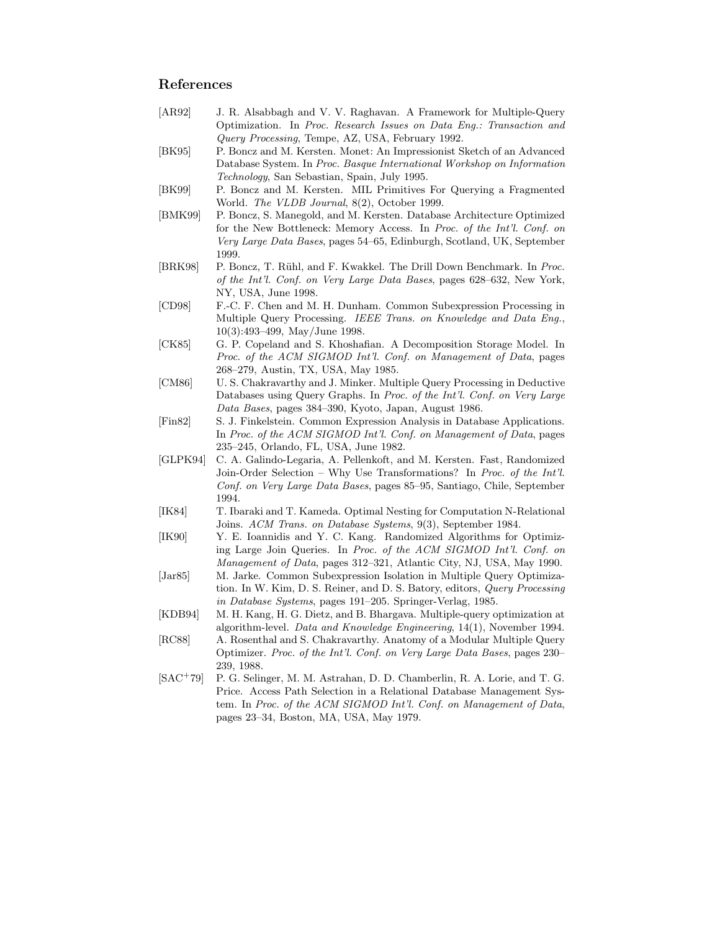# **References**

- [AR92] J. R. Alsabbagh and V. V. Raghavan. A Framework for Multiple-Query Optimization. In Proc. Research Issues on Data Eng.: Transaction and Query Processing, Tempe, AZ, USA, February 1992.
- [BK95] P. Boncz and M. Kersten. Monet: An Impressionist Sketch of an Advanced Database System. In Proc. Basque International Workshop on Information Technology, San Sebastian, Spain, July 1995.
- [BK99] P. Boncz and M. Kersten. MIL Primitives For Querying a Fragmented World. The VLDB Journal, 8(2), October 1999.
- [BMK99] P. Boncz, S. Manegold, and M. Kersten. Database Architecture Optimized for the New Bottleneck: Memory Access. In Proc. of the Int'l. Conf. on Very Large Data Bases, pages 54–65, Edinburgh, Scotland, UK, September 1999.
- [BRK98] P. Boncz, T. Rühl, and F. Kwakkel. The Drill Down Benchmark. In Proc. of the Int'l. Conf. on Very Large Data Bases, pages 628–632, New York, NY, USA, June 1998.
- [CD98] F.-C. F. Chen and M. H. Dunham. Common Subexpression Processing in Multiple Query Processing. IEEE Trans. on Knowledge and Data Eng., 10(3):493–499, May/June 1998.
- [CK85] G. P. Copeland and S. Khoshafian. A Decomposition Storage Model. In Proc. of the ACM SIGMOD Int'l. Conf. on Management of Data, pages 268–279, Austin, TX, USA, May 1985.
- [CM86] U. S. Chakravarthy and J. Minker. Multiple Query Processing in Deductive Databases using Query Graphs. In Proc. of the Int'l. Conf. on Very Large Data Bases, pages 384–390, Kyoto, Japan, August 1986.
- [Fin82] S. J. Finkelstein. Common Expression Analysis in Database Applications. In Proc. of the ACM SIGMOD Int'l. Conf. on Management of Data, pages 235–245, Orlando, FL, USA, June 1982.
- [GLPK94] C. A. Galindo-Legaria, A. Pellenkoft, and M. Kersten. Fast, Randomized Join-Order Selection – Why Use Transformations? In Proc. of the Int'l. Conf. on Very Large Data Bases, pages 85–95, Santiago, Chile, September 1994.
- [IK84] T. Ibaraki and T. Kameda. Optimal Nesting for Computation N-Relational Joins. ACM Trans. on Database Systems, 9(3), September 1984.
- [IK90] Y. E. Ioannidis and Y. C. Kang. Randomized Algorithms for Optimizing Large Join Queries. In Proc. of the ACM SIGMOD Int'l. Conf. on Management of Data, pages 312–321, Atlantic City, NJ, USA, May 1990.
- [Jar85] M. Jarke. Common Subexpression Isolation in Multiple Query Optimization. In W. Kim, D. S. Reiner, and D. S. Batory, editors, Query Processing in Database Systems, pages 191–205. Springer-Verlag, 1985.
- [KDB94] M. H. Kang, H. G. Dietz, and B. Bhargava. Multiple-query optimization at algorithm-level. Data and Knowledge Engineering, 14(1), November 1994.
- [RC88] A. Rosenthal and S. Chakravarthy. Anatomy of a Modular Multiple Query Optimizer. Proc. of the Int'l. Conf. on Very Large Data Bases, pages 230– 239, 1988.
- [SAC<sup>+</sup>79] P. G. Selinger, M. M. Astrahan, D. D. Chamberlin, R. A. Lorie, and T. G. Price. Access Path Selection in a Relational Database Management System. In Proc. of the ACM SIGMOD Int'l. Conf. on Management of Data, pages 23–34, Boston, MA, USA, May 1979.